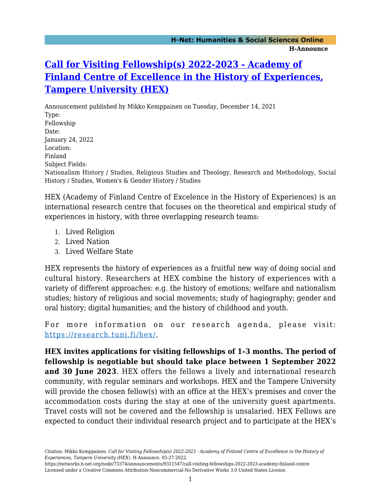## **[Call for Visiting Fellowship\(s\) 2022-2023 - Academy of](https://networks.h-net.org/node/73374/announcements/9311547/call-visiting-fellowships-2022-2023-academy-finland-centre) [Finland Centre of Excellence in the History of Experiences,](https://networks.h-net.org/node/73374/announcements/9311547/call-visiting-fellowships-2022-2023-academy-finland-centre) [Tampere University \(HEX\)](https://networks.h-net.org/node/73374/announcements/9311547/call-visiting-fellowships-2022-2023-academy-finland-centre)**

Announcement published by Mikko Kemppainen on Tuesday, December 14, 2021 Type: Fellowship Date: January 24, 2022 Location: Finland Subject Fields: Nationalism History / Studies, Religious Studies and Theology, Research and Methodology, Social History / Studies, Women's & Gender History / Studies

HEX (Academy of Finland Centre of Excelence in the History of Experiences) is an international research centre that focuses on the theoretical and empirical study of experiences in history, with three overlapping research teams:

- 1. Lived Religion
- 2. Lived Nation
- 3. Lived Welfare State

HEX represents the history of experiences as a fruitful new way of doing social and cultural history. Researchers at HEX combine the history of experiences with a variety of different approaches: e.g. the history of emotions; welfare and nationalism studies; history of religious and social movements; study of hagiography; gender and oral history; digital humanities; and the history of childhood and youth.

For more information on our research agenda, please visit: [https://research.tuni.fi/hex/.](https://research.tuni.fi/hex/)

**HEX invites applications for visiting fellowships of 1–3 months. The period of fellowship is negotiable but should take place between 1 September 2022 and 30 June 2023**. HEX offers the fellows a lively and international research community, with regular seminars and workshops. HEX and the Tampere University will provide the chosen fellow(s) with an office at the HEX's premises and cover the accommodation costs during the stay at one of the university guest apartments. Travel costs will not be covered and the fellowship is unsalaried. HEX Fellows are expected to conduct their individual research project and to participate at the HEX's

Citation: Mikko Kemppainen. *Call for Visiting Fellowship(s) 2022-2023 - Academy of Finland Centre of Excellence in the History of Experiences, Tampere University (HEX)*. H-Announce. 05-27-2022.

https://networks.h-net.org/node/73374/announcements/9311547/call-visiting-fellowships-2022-2023-academy-finland-centre Licensed under a Creative Commons Attribution-Noncommercial-No Derivative Works 3.0 United States License.